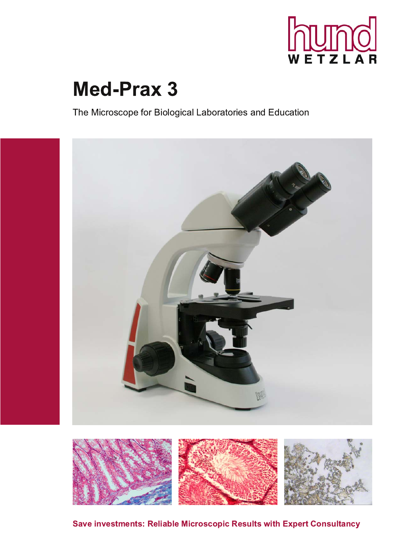

# **Med-Prax 3**

The Microscope for Biological Laboratories and Education





Save investments: Reliable Microscopic Results with Expert Consultancy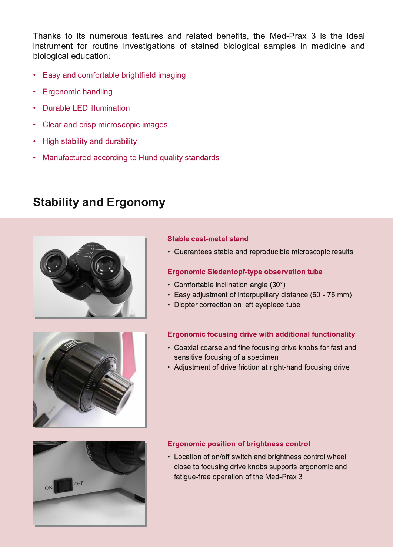Thanks to its numerous features and related benefits, the Med-Prax 3 is the ideal instrument for routine investigations of stained biological samples in medicine and biological education:

- Easy and comfortable brightfield imaging
- **Ergonomic handling**
- **Durable LED illumination**
- Clear and crisp microscopic images
- High stability and durability
- Manufactured according to Hund quality standards

# **Stability and Ergonomy**



## **Stable cast-metal stand**

• Guarantees stable and reproducible microscopic results

# **Ergonomic Siedentopf-type observation tube**

- Comfortable inclination angle (30°)
- Easy adjustment of interpupillary distance (50 75 mm)
- Diopter correction on left eyepiece tube

## **Ergonomic focusing drive with additional functionality**

- Coaxial coarse and fine focusing drive knobs for fast and sensitive focusing of a specimen
- Adjustment of drive friction at right-hand focusing drive





## **Ergonomic position of brightness control**

• Location of on/off switch and brightness control wheel close to focusing drive knobs supports ergonomic and fatigue-free operation of the Med-Prax 3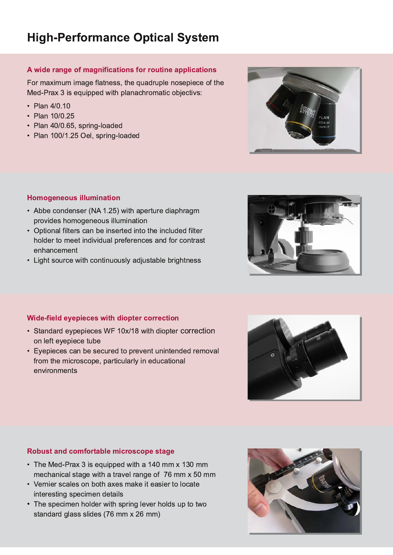# **High-Performance Optical System**

### A wide range of magnifications for routine applications

For maximum image flatness, the quadruple nosepiece of the Med-Prax 3 is equipped with planachromatic objectivs:

- Plan 4/0.10
- Plan 10/0.25
- Plan 40/0.65, spring-loaded
- Plan 100/1.25 Oel, spring-loaded



#### **Homogeneous illumination**

- Abbe condenser (NA 1.25) with aperture diaphragm provides homogeneous illumination
- Optional filters can be inserted into the included filter holder to meet individual preferences and for contrast enhancement
- Light source with continuously adjustable brightness



# Wide-field eyepieces with diopter correction

- Standard eypepieces WF 10x/18 with diopter correction on left eyepiece tube
- Eyepieces can be secured to prevent unintended removal from the microscope, particularly in educational environments



## Robust and comfortable microscope stage

- The Med-Prax 3 is equipped with a 140 mm x 130 mm mechanical stage with a travel range of 76 mm x 50 mm
- Vernier scales on both axes make it easier to locate interesting specimen details
- The specimen holder with spring lever holds up to two standard glass slides (76 mm x 26 mm)